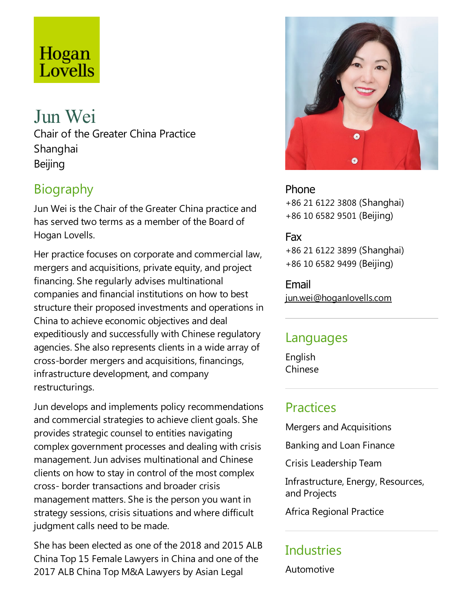# Hogan Lovells

# Jun Wei

Chair of the Greater China Practice Shanghai Beijing

# Biography

Jun Wei is the Chair of the Greater China practice and has served two terms as a member of the Board of Hogan Lovells.

Her practice focuses on corporate and commercial law, mergers and acquisitions, private equity, and project financing. She regularly advises multinational companies and financial institutions on how to best structure their proposed investments and operations in China to achieve economic objectives and deal expeditiously and successfully with Chinese regulatory agencies. She also represents clients in a wide array of cross-border mergers and acquisitions, financings, infrastructure development, and company restructurings.

Jun develops and implements policy recommendations and commercial strategies to achieve client goals. She provides strategic counsel to entities navigating complex government processes and dealing with crisis management. Jun advises multinational and Chinese clients on how to stay in control of the most complex cross- border transactions and broader crisis management matters. She is the person you want in strategy sessions, crisis situations and where difficult judgment calls need to be made.

She has been elected as one of the 2018 and 2015 ALB China Top 15 Female Lawyers in China and one of the 2017 ALB China Top M&A Lawyers by Asian Legal



Phone +86 21 6122 3808 (Shanghai) +86 10 6582 9501 (Beijing)

#### Fax

+86 21 6122 3899 (Shanghai) +86 10 6582 9499 (Beijing)

Email jun.wei@hoganlovells.com

#### Languages

English Chinese

## **Practices**

Mergers and Acquisitions

Banking and Loan Finance

Crisis Leadership Team

Infrastructure, Energy, Resources, and Projects

Africa Regional Practice

# **Industries**

Automotive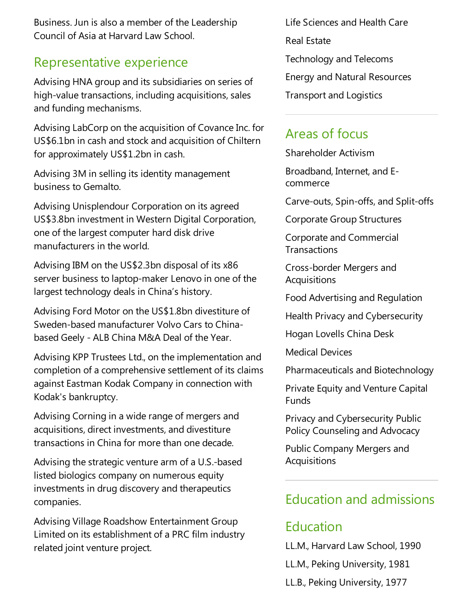Business. Jun is also a member of the Leadership Council of Asiaat Harvard Law School.

#### Representative experience

Advising HNA group and its subsidiaries on series of high-value transactions, including acquisitions, sales and funding mechanisms.

Advising LabCorp on the acquisition of Covance Inc. for US\$6.1bn in cash and stock and acquisition of Chiltern for approximately US\$1.2bn in cash.

Advising 3M in selling its identity management business to Gemalto.

Advising Unisplendour Corporation on its agreed US\$3.8bn investment in Western Digital Corporation, one of the largest computer hard disk drive manufacturers in the world.

Advising IBM on the US\$2.3bn disposal of its x86 server business to laptop-maker Lenovo in one of the largest technology deals in China's history.

Advising Ford Motor on the US\$1.8bn divestiture of Sweden-based manufacturer Volvo Cars to Chinabased Geely - ALB China M&A Deal of the Year.

Advising KPP Trustees Ltd., on the implementation and completion of a comprehensive settlement of its claims against Eastman Kodak Company in connection with Kodak's bankruptcy.

Advising Corning in a wide range of mergers and acquisitions, direct investments,and divestiture transactions in China for more than one decade.

Advising the strategic venture arm of a U.S.-based listed biologics company on numerous equity investments in drug discovery and therapeutics companies.

Advising Village Roadshow Entertainment Group Limited on its establishment of a PRC film industry related joint venture project.

Life Sciences and Health Care Real Estate Technology and Telecoms Energy and Natural Resources **Transport and Logistics** 

# Areas of focus

Shareholder Activism

Broadband, Internet, and Ecommerce

Carve-outs, Spin-offs,and Split-offs

Corporate Group Structures

Corporate and Commercial **Transactions** 

Cross-border Mergers and **Acquisitions** 

Food Advertising and Regulation

Health Privacy and Cybersecurity

Hogan Lovells China Desk

Medical Devices

Pharmaceuticals and Biotechnology

Private Equity and Venture Capital **Funds** 

Privacy and Cybersecurity Public Policy Counseling and Advocacy

Public Company Mergers and Acquisitions

#### Education and admissions

## Education

LL.M., Harvard Law School, 1990 LL.M., Peking University, 1981 LL.B., Peking University, 1977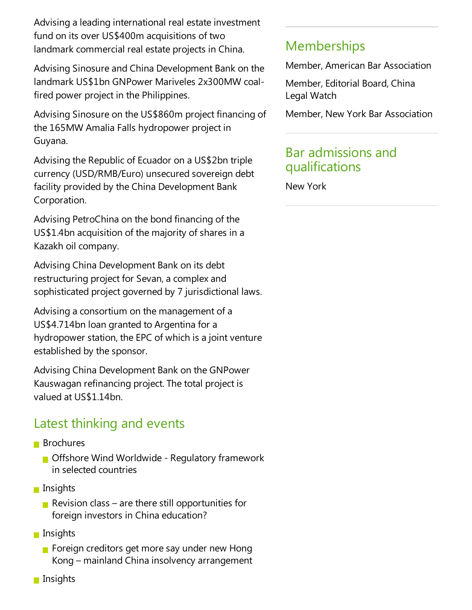Advising a leading international real estate investment fund on its over US\$400m acquisitions of two landmark commercial real estate projects in China.

Advising Sinosure and China Development Bank on the landmark US\$1bn GNPower Mariveles 2x300MW coalfired power project in the Philippines.

Advising Sinosure on the US\$860m project financing of the 165MW Amalia Falls hydropower project in Guyana.

Advising the Republic of Ecuador on a US\$2bn triple currency (USD/RMB/Euro) unsecured sovereign debt facility provided by the China Development Bank Corporation.

Advising PetroChina on the bond financing of the US\$1.4bn acquisition of the majority of shares in a Kazakh oil company.

Advising China Development Bank on its debt restructuring project for Sevan, a complex and sophisticated project governed by 7 jurisdictional laws.

Advising a consortium on the management of a US\$4.714bn loan granted to Argentina for a hydropower station, the EPC of which is a joint venture established by the sponsor.

Advising China Development Bank on the GNPower Kauswagan refinancing project. The total project is valued at US\$1.14bn.

# Latest thinking and events

- **Brochures** 
	- **Offshore Wind Worldwide Regulatory framework** in selected countries
- **n** Insights
	- Revision class are there still opportunities for foreign investors in China education?
- **Insights** 
	- Foreign creditors get more say under new Hong Kong – mainland China insolvency arrangement
- **Insights**

# **Memberships**

Member, American Bar Association

Member, Editorial Board, China Legal Watch

Member, New York Bar Association

#### Bar admissions and qualifications

New York